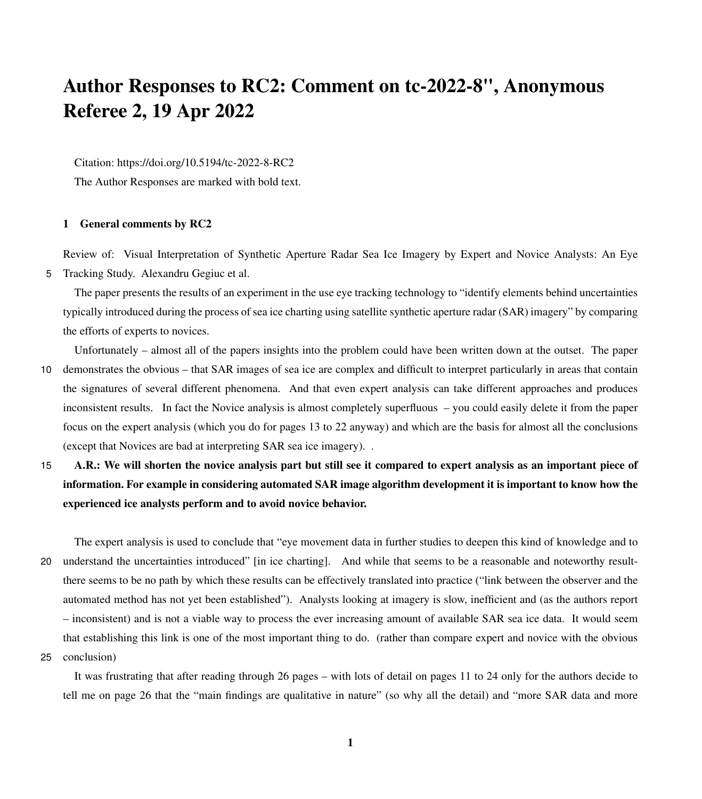# Author Responses to RC2: Comment on tc-2022-8", Anonymous Referee 2, 19 Apr 2022

Citation: https://doi.org/10.5194/tc-2022-8-RC2

The Author Responses are marked with bold text.

# 1 General comments by RC2

Review of: Visual Interpretation of Synthetic Aperture Radar Sea Ice Imagery by Expert and Novice Analysts: An Eye 5 Tracking Study. Alexandru Gegiuc et al.

The paper presents the results of an experiment in the use eye tracking technology to "identify elements behind uncertainties typically introduced during the process of sea ice charting using satellite synthetic aperture radar (SAR) imagery" by comparing the efforts of experts to novices.

- Unfortunately almost all of the papers insights into the problem could have been written down at the outset. The paper 10 demonstrates the obvious – that SAR images of sea ice are complex and difficult to interpret particularly in areas that contain the signatures of several different phenomena. And that even expert analysis can take different approaches and produces inconsistent results. In fact the Novice analysis is almost completely superfluous – you could easily delete it from the paper focus on the expert analysis (which you do for pages 13 to 22 anyway) and which are the basis for almost all the conclusions (except that Novices are bad at interpreting SAR sea ice imagery). .
- 15 A.R.: We will shorten the novice analysis part but still see it compared to expert analysis as an important piece of information. For example in considering automated SAR image algorithm development it is important to know how the experienced ice analysts perform and to avoid novice behavior.

The expert analysis is used to conclude that "eye movement data in further studies to deepen this kind of knowledge and to 20 understand the uncertainties introduced" [in ice charting]. And while that seems to be a reasonable and noteworthy resultthere seems to be no path by which these results can be effectively translated into practice ("link between the observer and the automated method has not yet been established"). Analysts looking at imagery is slow, inefficient and (as the authors report – inconsistent) and is not a viable way to process the ever increasing amount of available SAR sea ice data. It would seem that establishing this link is one of the most important thing to do. (rather than compare expert and novice with the obvious

25 conclusion)

It was frustrating that after reading through 26 pages – with lots of detail on pages 11 to 24 only for the authors decide to tell me on page 26 that the "main findings are qualitative in nature" (so why all the detail) and "more SAR data and more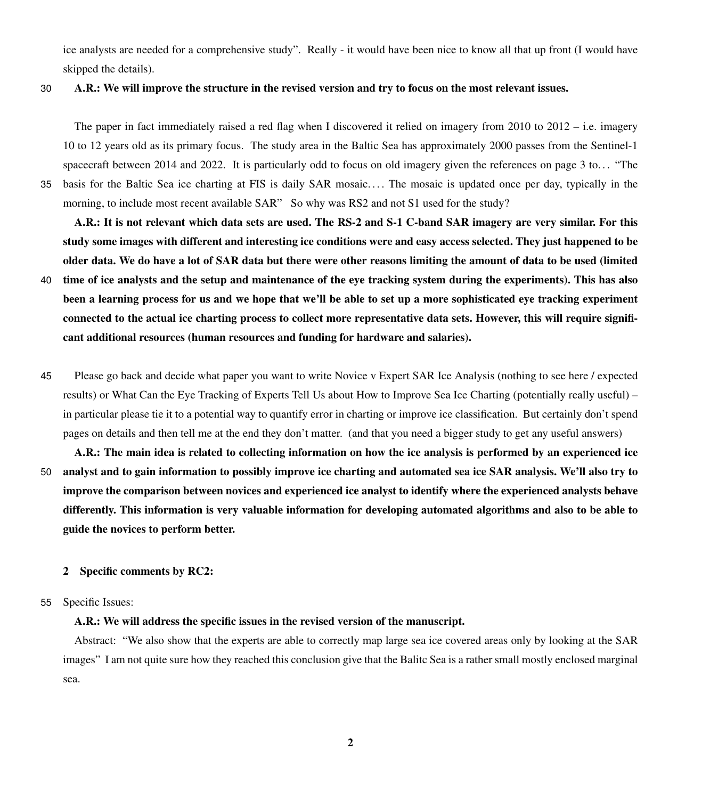ice analysts are needed for a comprehensive study". Really - it would have been nice to know all that up front (I would have skipped the details).

### 30 A.R.: We will improve the structure in the revised version and try to focus on the most relevant issues.

The paper in fact immediately raised a red flag when I discovered it relied on imagery from 2010 to 2012 – i.e. imagery 10 to 12 years old as its primary focus. The study area in the Baltic Sea has approximately 2000 passes from the Sentinel-1 spacecraft between 2014 and 2022. It is particularly odd to focus on old imagery given the references on page 3 to. . . "The 35 basis for the Baltic Sea ice charting at FIS is daily SAR mosaic. . . . The mosaic is updated once per day, typically in the morning, to include most recent available SAR" So why was RS2 and not S1 used for the study?

A.R.: It is not relevant which data sets are used. The RS-2 and S-1 C-band SAR imagery are very similar. For this study some images with different and interesting ice conditions were and easy access selected. They just happened to be older data. We do have a lot of SAR data but there were other reasons limiting the amount of data to be used (limited

- 40 time of ice analysts and the setup and maintenance of the eye tracking system during the experiments). This has also been a learning process for us and we hope that we'll be able to set up a more sophisticated eye tracking experiment connected to the actual ice charting process to collect more representative data sets. However, this will require significant additional resources (human resources and funding for hardware and salaries).
- 45 Please go back and decide what paper you want to write Novice v Expert SAR Ice Analysis (nothing to see here / expected results) or What Can the Eye Tracking of Experts Tell Us about How to Improve Sea Ice Charting (potentially really useful) – in particular please tie it to a potential way to quantify error in charting or improve ice classification. But certainly don't spend pages on details and then tell me at the end they don't matter. (and that you need a bigger study to get any useful answers)
- A.R.: The main idea is related to collecting information on how the ice analysis is performed by an experienced ice 50 analyst and to gain information to possibly improve ice charting and automated sea ice SAR analysis. We'll also try to improve the comparison between novices and experienced ice analyst to identify where the experienced analysts behave differently. This information is very valuable information for developing automated algorithms and also to be able to guide the novices to perform better.

#### 2 Specific comments by RC2:

#### 55 Specific Issues:

## A.R.: We will address the specific issues in the revised version of the manuscript.

Abstract: "We also show that the experts are able to correctly map large sea ice covered areas only by looking at the SAR images" I am not quite sure how they reached this conclusion give that the Balitc Sea is a rather small mostly enclosed marginal sea.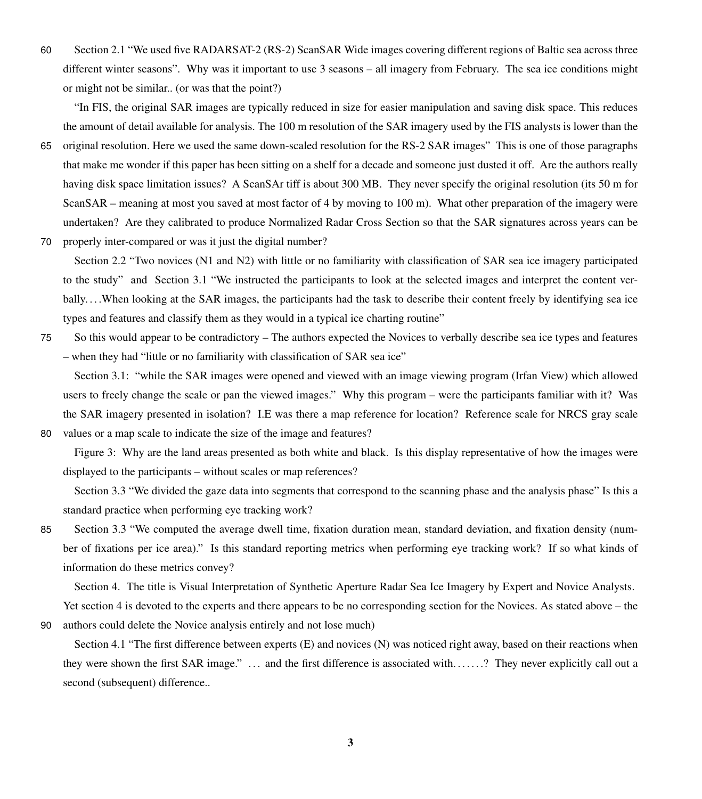60 Section 2.1 "We used five RADARSAT-2 (RS-2) ScanSAR Wide images covering different regions of Baltic sea across three different winter seasons". Why was it important to use 3 seasons – all imagery from February. The sea ice conditions might or might not be similar.. (or was that the point?)

"In FIS, the original SAR images are typically reduced in size for easier manipulation and saving disk space. This reduces the amount of detail available for analysis. The 100 m resolution of the SAR imagery used by the FIS analysts is lower than the

65 original resolution. Here we used the same down-scaled resolution for the RS-2 SAR images" This is one of those paragraphs that make me wonder if this paper has been sitting on a shelf for a decade and someone just dusted it off. Are the authors really having disk space limitation issues? A ScanSAr tiff is about 300 MB. They never specify the original resolution (its 50 m for ScanSAR – meaning at most you saved at most factor of 4 by moving to 100 m). What other preparation of the imagery were undertaken? Are they calibrated to produce Normalized Radar Cross Section so that the SAR signatures across years can be 70 properly inter-compared or was it just the digital number?

Section 2.2 "Two novices (N1 and N2) with little or no familiarity with classification of SAR sea ice imagery participated to the study" and Section 3.1 "We instructed the participants to look at the selected images and interpret the content verbally. . . .When looking at the SAR images, the participants had the task to describe their content freely by identifying sea ice types and features and classify them as they would in a typical ice charting routine"

75 So this would appear to be contradictory – The authors expected the Novices to verbally describe sea ice types and features – when they had "little or no familiarity with classification of SAR sea ice"

Section 3.1: "while the SAR images were opened and viewed with an image viewing program (Irfan View) which allowed users to freely change the scale or pan the viewed images." Why this program – were the participants familiar with it? Was the SAR imagery presented in isolation? I.E was there a map reference for location? Reference scale for NRCS gray scale 80 values or a map scale to indicate the size of the image and features?

Figure 3: Why are the land areas presented as both white and black. Is this display representative of how the images were displayed to the participants – without scales or map references?

Section 3.3 "We divided the gaze data into segments that correspond to the scanning phase and the analysis phase" Is this a standard practice when performing eye tracking work?

85 Section 3.3 "We computed the average dwell time, fixation duration mean, standard deviation, and fixation density (number of fixations per ice area)." Is this standard reporting metrics when performing eye tracking work? If so what kinds of information do these metrics convey?

Section 4. The title is Visual Interpretation of Synthetic Aperture Radar Sea Ice Imagery by Expert and Novice Analysts. Yet section 4 is devoted to the experts and there appears to be no corresponding section for the Novices. As stated above – the

90 authors could delete the Novice analysis entirely and not lose much)

Section 4.1 "The first difference between experts (E) and novices (N) was noticed right away, based on their reactions when they were shown the first SAR image." ... and the first difference is associated with.......? They never explicitly call out a second (subsequent) difference..